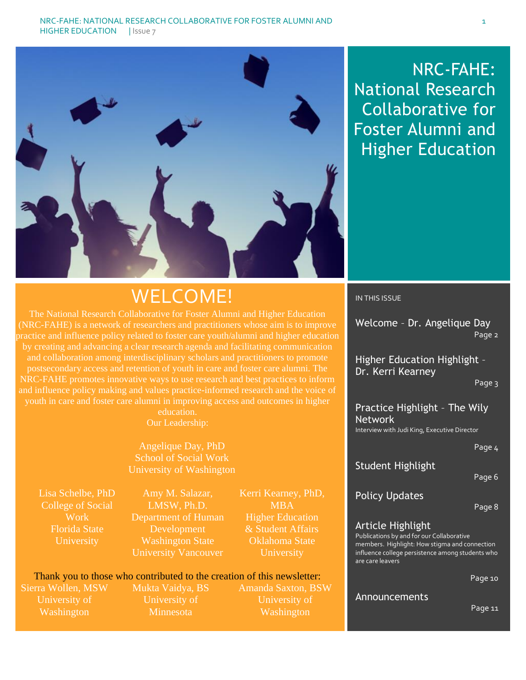

# NRC-FAHE: National Research Collaborative for Foster Alumni and Higher Education

# WELCOME!

The National Research Collaborative for Foster Alumni and Higher Education (NRC-FAHE) is a network of researchers and practitioners whose aim is to improve by creating and advancing a clear research agenda and facilitating communication and collaboration among interdisciplinary scholars and practitioners to promote postsecondary access and retention of youth in care and foster care alumni. The NRC-FAHE promotes innovative ways to use research and best practices to inform and influence policy making and values practice-informed research and the voice of youth in care and foster care alumni in improving access and outcomes in higher

education. Our Leadership:

Angelique Day, PhD School of Social Work University of Washington

Lisa Schelbe, PhD College of Social Work Florida State University

Amy M. Salazar, LMSW, Ph.D. Department of Human Development Washington State University Vancouver

Kerri Kearney, PhD, **MBA** Higher Education & Student Affairs Oklahoma State **University** 

# Thank you to those who contributed to the creation of this newsletter:

Sierra Wollen, MSW University of **Washington** 

Mukta Vaidya, BS University of **Minnesota** 

Amanda Saxton, BSW University of Washington

#### IN THIS ISSUE

Welcome – Dr. Angelique Day Page 2

Higher Education Highlight – Dr. Kerri Kearney

Page 3

Practice Highlight – The Wily Network Interview with Judi King, Executive Director

Page 4

# Student Highlight

Page 6

# Policy Updates

Page 8

# Article Highlight

Publications by and for our Collaborative members. Highlight: How stigma and connection influence college persistence among students who are care leavers

Page 10

#### Announcements

Page 11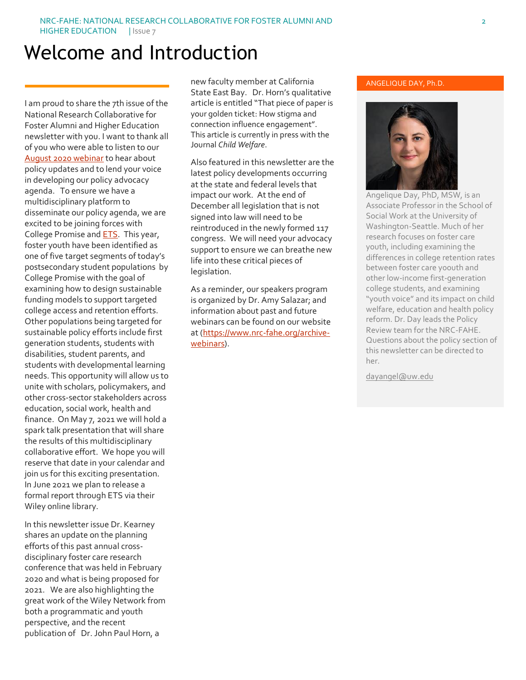# Welcome and Introduction

I am proud to share the 7th issue of the National Research Collaborative for Foster Alumni and Higher Education newsletter with you. I want to thank all of you who were able to listen to our [August 2020 webinar](https://www.youtube.com/watch?v=3UFotqGWVNk&feature=youtu.be) to hear about policy updates and to lend your voice in developing our policy advocacy agenda. To ensure we have a multidisciplinary platform to disseminate our policy agenda, we are excited to be joining forces with College Promise and **ETS**. This year, foster youth have been identified as one of five target segments of today's postsecondary student populations by College Promise with the goal of examining how to design sustainable funding models to support targeted college access and retention efforts. Other populations being targeted for sustainable policy efforts include first generation students, students with disabilities, student parents, and students with developmental learning needs. This opportunity will allow us to unite with scholars, policymakers, and other cross-sector stakeholders across education, social work, health and finance. On May 7, 2021 we will hold a spark talk presentation that will share the results of this multidisciplinary collaborative effort. We hope you will reserve that date in your calendar and join us for this exciting presentation. In June 2021 we plan to release a formal report through ETS via their Wiley online library.

In this newsletter issue Dr. Kearney shares an update on the planning efforts of this past annual crossdisciplinary foster care research conference that was held in February 2020 and what is being proposed for 2021. We are also highlighting the great work of the Wiley Network from both a programmatic and youth perspective, and the recent publication of Dr. John Paul Horn, a

new faculty member at California State East Bay. Dr. Horn's qualitative article is entitled "That piece of paper is your golden ticket: How stigma and connection influence engagement". This article is currently in press with the Journal *Child Welfare*.

Also featured in this newsletter are the latest policy developments occurring at the state and federal levels that impact our work. At the end of December all legislation that is not signed into law will need to be reintroduced in the newly formed 117 congress. We will need your advocacy support to ensure we can breathe new life into these critical pieces of legislation.

As a reminder, our speakers program is organized by Dr. Amy Salazar; and information about past and future webinars can be found on our website at [\(https://www.nrc-fahe.org/archive](https://www.nrc-fahe.org/archive-webinars)[webinars\)](https://www.nrc-fahe.org/archive-webinars).

#### ANGELIQUE DAY, Ph.D.



Angelique Day, PhD, MSW, is an Associate Professor in the School of Social Work at the University of Washington-Seattle. Much of her research focuses on foster care youth, including examining the differences in college retention rates between foster care yoouth and other low-income first-generation college students, and examining "youth voice" and its impact on child welfare, education and health policy reform. Dr. Day leads the Policy Review team for the NRC-FAHE. Questions about the policy section of this newsletter can be directed to her.

[dayangel@uw.edu](mailto:dayangel@uw.edu)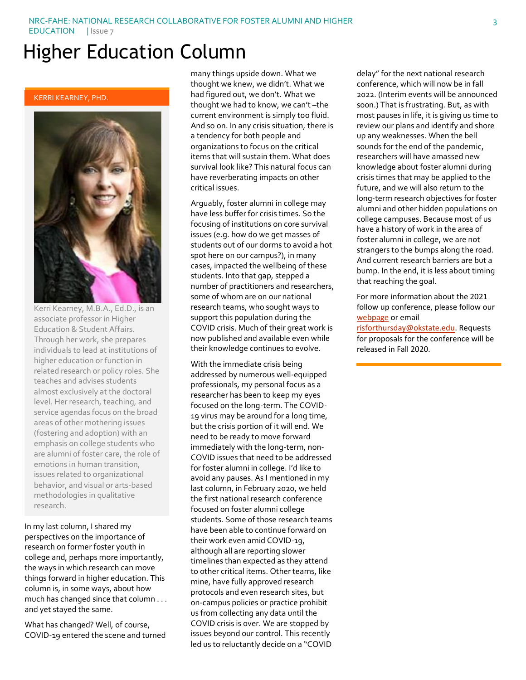# Higher Education Column

KERRI KEARNEY, PHD.



Kerri Kearney, M.B.A., Ed.D., is an associate professor in Higher Education & Student Affairs. Through her work, she prepares individuals to lead at institutions of higher education or function in related research or policy roles. She teaches and advises students almost exclusively at the doctoral level. Her research, teaching, and service agendas focus on the broad areas of other mothering issues (fostering and adoption) with an emphasis on college students who are alumni of foster care, the role of emotions in human transition, issues related to organizational behavior, and visual or arts-based methodologies in qualitative research.

In my last column, I shared my perspectives on the importance of research on former foster youth in college and, perhaps more importantly, the ways in which research can move things forward in higher education. This column is, in some ways, about how much has changed since that column . . . and yet stayed the same.

What has changed? Well, of course, COVID-19 entered the scene and turned many things upside down. What we thought we knew, we didn't. What we had figured out, we don't. What we thought we had to know, we can't –the current environment is simply too fluid. And so on. In any crisis situation, there is a tendency for both people and organizations to focus on the critical items that will sustain them. What does survival look like? This natural focus can have reverberating impacts on other critical issues.

Arguably, foster alumni in college may have less buffer for crisis times. So the focusing of institutions on core survival issues (e.g. how do we get masses of students out of our dorms to avoid a hot spot here on our campus?), in many cases, impacted the wellbeing of these students. Into that gap, stepped a number of practitioners and researchers, some of whom are on our national research teams, who sought ways to support this population during the COVID crisis. Much of their great work is now published and available even while their knowledge continues to evolve.

With the immediate crisis being addressed by numerous well-equipped professionals, my personal focus as a researcher has been to keep my eyes focused on the long-term. The COVID-19 virus may be around for a long time, but the crisis portion of it will end. We need to be ready to move forward immediately with the long-term, non-COVID issues that need to be addressed for foster alumni in college. I'd like to avoid any pauses. As I mentioned in my last column, in February 2020, we held the first national research conference focused on foster alumni college students. Some of those research teams have been able to continue forward on their work even amid COVID-19, although all are reporting slower timelines than expected as they attend to other critical items. Other teams, like mine, have fully approved research protocols and even research sites, but on-campus policies or practice prohibit us from collecting any data until the COVID crisis is over. We are stopped by issues beyond our control. This recently led us to reluctantly decide on a "COVID

delay" for the next national research conference, which will now be in fall 2022. (Interim events will be announced soon.) That is frustrating. But, as with most pauses in life, it is giving us time to review our plans and identify and shore up any weaknesses. When the bell sounds for the end of the pandemic, researchers will have amassed new knowledge about foster alumni during crisis times that may be applied to the future, and we will also return to the long-term research objectives for foster alumni and other hidden populations on college campuses. Because most of us have a history of work in the area of foster alumni in college, we are not strangers to the bumps along the road. And current research barriers are but a bump. In the end, it is less about timing that reaching the goal.

For more information about the 2021 follow up conference, please follow our [webpage](https://education.okstate.edu/risforthursday/conference.html) or email

[risforthursday@okstate.edu.](mailto:risforthursday@okstate.edu) Requests for proposals for the conference will be released in Fall 2020.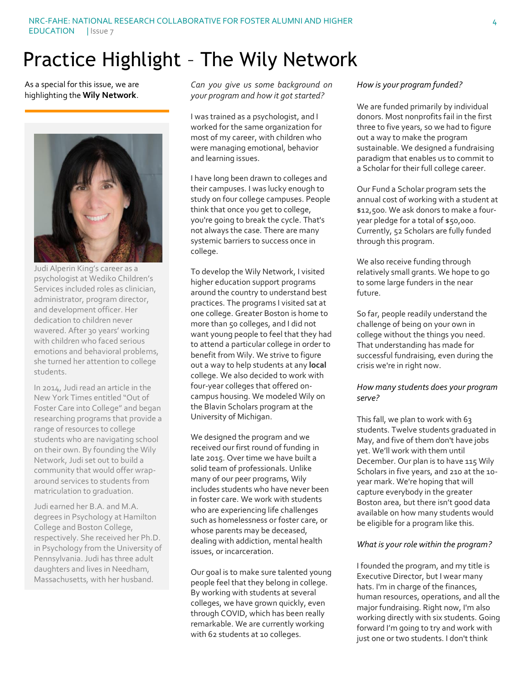# Practice Highlight – The Wily Network

#### As a special for this issue, we are highlighting the **Wily Network**.



Judi Alperin King's career as a psychologist at Wediko Children's Services included roles as clinician, administrator, program director, and development officer. Her dedication to children never wavered. After 30 years' working with children who faced serious emotions and behavioral problems, she turned her attention to college students.

In 2014, Judi read an article in the New York Times entitled "Out of Foster Care into College" and began researching programs that provide a range of resources to college students who are navigating school on their own. By founding the Wily Network, Judi set out to build a community that would offer wraparound services to students from matriculation to graduation.

Judi earned her B.A. and M.A. degrees in Psychology at Hamilton College and Boston College, respectively. She received her Ph.D. in Psychology from the University of Pennsylvania. Judi has three adult daughters and lives in Needham, Massachusetts, with her husband.

*Can you give us some background on your program and how it got started?*

I was trained as a psychologist, and I worked for the same organization for most of my career, with children who were managing emotional, behavior and learning issues.

I have long been drawn to colleges and their campuses. I was lucky enough to study on four college campuses. People think that once you get to college, you're going to break the cycle. That's not always the case. There are many systemic barriers to success once in college.

To develop the Wily Network, I visited higher education support programs around the country to understand best practices. The programs I visited sat at one college. Greater Boston is home to more than 50 colleges, and I did not want young people to feel that they had to attend a particular college in order to benefit from Wily. We strive to figure out a way to help students at any **local**  college. We also decided to work with four-year colleges that offered oncampus housing. We modeled Wily on the Blavin Scholars program at the University of Michigan.

We designed the program and we received our first round of funding in late 2015. Over time we have built a solid team of professionals. Unlike many of our peer programs, Wily includes students who have never been in foster care. We work with students who are experiencing life challenges such as homelessness or foster care, or whose parents may be deceased, dealing with addiction, mental health issues, or incarceration.

Our goal is to make sure talented young people feel that they belong in college. By working with students at several colleges, we have grown quickly, even through COVID, which has been really remarkable. We are currently working with 62 students at 10 colleges.

# *How is your program funded?*

We are funded primarily by individual donors. Most nonprofits fail in the first three to five years, so we had to figure out a way to make the program sustainable. We designed a fundraising paradigm that enables us to commit to a Scholar for their full college career.

Our Fund a Scholar program sets the annual cost of working with a student at \$12,500. We ask donors to make a fouryear pledge for a total of \$50,000. Currently, 52 Scholars are fully funded through this program.

We also receive funding through relatively small grants. We hope to go to some large funders in the near future.

So far, people readily understand the challenge of being on your own in college without the things you need. That understanding has made for successful fundraising, even during the crisis we're in right now.

## *How many students does your program serve?*

This fall, we plan to work with 63 students. Twelve students graduated in May, and five of them don't have jobs yet. We'll work with them until December. Our plan is to have 115 Wily Scholars in five years, and 210 at the 10 year mark. We're hoping that will capture everybody in the greater Boston area, but there isn't good data available on how many students would be eligible for a program like this.

#### *What is your role within the program?*

I founded the program, and my title is Executive Director, but I wear many hats. I'm in charge of the finances, human resources, operations, and all the major fundraising. Right now, I'm also working directly with six students. Going forward I'm going to try and work with just one or two students. I don't think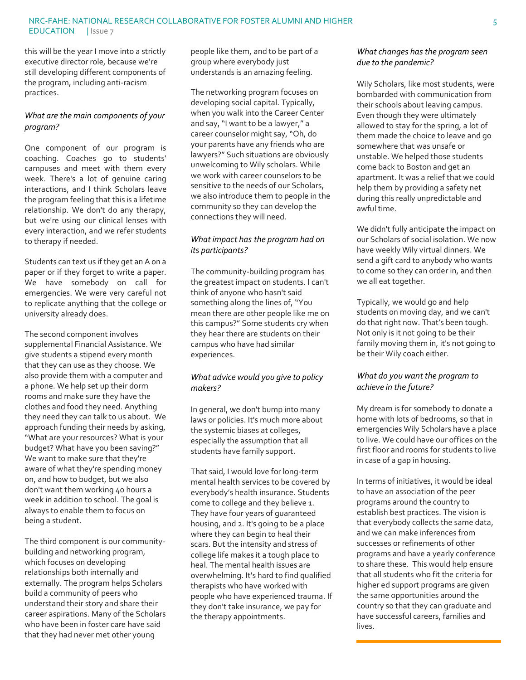this will be the year I move into a strictly executive director role, because we're still developing different components of the program, including anti-racism practices.

# *What are the main components of your program?*

One component of our program is coaching. Coaches go to students' campuses and meet with them every week. There's a lot of genuine caring interactions, and I think Scholars leave the program feeling that this is a lifetime relationship. We don't do any therapy, but we're using our clinical lenses with every interaction, and we refer students to therapy if needed.

Students can text us if they get an A on a paper or if they forget to write a paper. We have somebody on call for emergencies. We were very careful not to replicate anything that the college or university already does.

The second component involves supplemental Financial Assistance. We give students a stipend every month that they can use as they choose. We also provide them with a computer and a phone. We help set up their dorm rooms and make sure they have the clothes and food they need. Anything they need they can talk to us about. We approach funding their needs by asking, "What are your resources? What is your budget? What have you been saving?" We want to make sure that they're aware of what they're spending money on, and how to budget, but we also don't want them working 40 hours a week in addition to school. The goal is always to enable them to focus on being a student.

The third component is our communitybuilding and networking program, which focuses on developing relationships both internally and externally. The program helps Scholars build a community of peers who understand their story and share their career aspirations. Many of the Scholars who have been in foster care have said that they had never met other young

people like them, and to be part of a group where everybody just understands is an amazing feeling.

The networking program focuses on developing social capital. Typically, when you walk into the Career Center and say, "I want to be a lawyer," a career counselor might say, "Oh, do your parents have any friends who are lawyers?" Such situations are obviously unwelcoming to Wily scholars. While we work with career counselors to be sensitive to the needs of our Scholars, we also introduce them to people in the community so they can develop the connections they will need.

# *What impact has the program had on its participants?*

The community-building program has the greatest impact on students. I can't think of anyone who hasn't said something along the lines of, "You mean there are other people like me on this campus?" Some students cry when they hear there are students on their campus who have had similar experiences.

# *What advice would you give to policy makers?*

In general, we don't bump into many laws or policies. It's much more about the systemic biases at colleges, especially the assumption that all students have family support.

That said, I would love for long-term mental health services to be covered by everybody's health insurance. Students come to college and they believe 1. They have four years of guaranteed housing, and 2. It's going to be a place where they can begin to heal their scars. But the intensity and stress of college life makes it a tough place to heal. The mental health issues are overwhelming. It's hard to find qualified therapists who have worked with people who have experienced trauma. If they don't take insurance, we pay for the therapy appointments.

# *What changes has the program seen due to the pandemic?*

Wily Scholars, like most students, were bombarded with communication from their schools about leaving campus. Even though they were ultimately allowed to stay for the spring, a lot of them made the choice to leave and go somewhere that was unsafe or unstable. We helped those students come back to Boston and get an apartment. It was a relief that we could help them by providing a safety net during this really unpredictable and awful time.

We didn't fully anticipate the impact on our Scholars of social isolation. We now have weekly Wily virtual dinners. We send a gift card to anybody who wants to come so they can order in, and then we all eat together.

Typically, we would go and help students on moving day, and we can't do that right now. That's been tough. Not only is it not going to be their family moving them in, it's not going to be their Wily coach either.

# *What do you want the program to achieve in the future?*

My dream is for somebody to donate a home with lots of bedrooms, so that in emergencies Wily Scholars have a place to live. We could have our offices on the first floor and rooms for students to live in case of a gap in housing.

In terms of initiatives, it would be ideal to have an association of the peer programs around the country to establish best practices. The vision is that everybody collects the same data, and we can make inferences from successes or refinements of other programs and have a yearly conference to share these. This would help ensure that all students who fit the criteria for higher ed support programs are given the same opportunities around the country so that they can graduate and have successful careers, families and lives.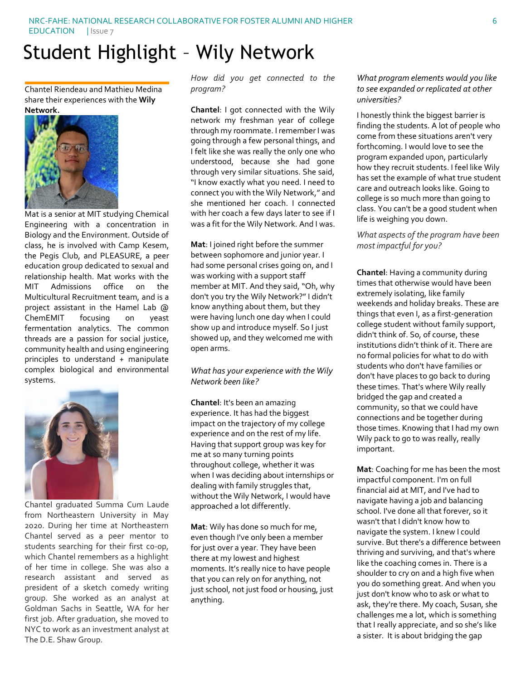# Student Highlight – Wily Network

Chantel Riendeau and Mathieu Medina share their experiences with the **Wily Network.**



Mat is a senior at MIT studying Chemical Engineering with a concentration in Biology and the Environment. Outside of class, he is involved with Camp Kesem, the Pegis Club, and PLEASURE, a peer education group dedicated to sexual and relationship health. Mat works with the MIT Admissions office on the Multicultural Recruitment team, and is a project assistant in the Hamel Lab @ ChemEMIT focusing on yeast fermentation analytics. The common threads are a passion for social justice, community health and using engineering principles to understand + manipulate complex biological and environmental systems.



Chantel graduated Summa Cum Laude from Northeastern University in May 2020. During her time at Northeastern Chantel served as a peer mentor to students searching for their first co-op, which Chantel remembers as a highlight of her time in college. She was also a research assistant and served as president of a sketch comedy writing group. She worked as an analyst at Goldman Sachs in Seattle, WA for her first job. After graduation, she moved to NYC to work as an investment analyst at The D.E. Shaw Group.

*How did you get connected to the program?*

**Chantel**: I got connected with the Wily network my freshman year of college through my roommate. I remember I was going through a few personal things, and I felt like she was really the only one who understood, because she had gone through very similar situations. She said, "I know exactly what you need. I need to connect you with the Wily Network," and she mentioned her coach. I connected with her coach a few days later to see if I was a fit for the Wily Network. And I was.

**Mat**: I joined right before the summer between sophomore and junior year. I had some personal crises going on, and I was working with a support staff member at MIT. And they said, "Oh, why don't you try the Wily Network?" I didn't know anything about them, but they were having lunch one day when I could show up and introduce myself. So I just showed up, and they welcomed me with open arms.

*What has your experience with the Wily Network been like?*

**Chantel**: It's been an amazing experience. It has had the biggest impact on the trajectory of my college experience and on the rest of my life. Having that support group was key for me at so many turning points throughout college, whether it was when I was deciding about internships or dealing with family struggles that, without the Wily Network, I would have approached a lot differently.

**Mat**: Wily has done so much for me, even though I've only been a member for just over a year. They have been there at my lowest and highest moments. It's really nice to have people that you can rely on for anything, not just school, not just food or housing, just anything.

## *What program elements would you like to see expanded or replicated at other universities?*

I honestly think the biggest barrier is finding the students. A lot of people who come from these situations aren't very forthcoming. I would love to see the program expanded upon, particularly how they recruit students. I feel like Wily has set the example of what true student care and outreach looks like. Going to college is so much more than going to class. You can't be a good student when life is weighing you down.

## *What aspects of the program have been most impactful for you?*

**Chantel**: Having a community during times that otherwise would have been extremely isolating, like family weekends and holiday breaks. These are things that even I, as a first-generation college student without family support, didn't think of. So, of course, these institutions didn't think of it. There are no formal policies for what to do with students who don't have families or don't have places to go back to during these times. That's where Wily really bridged the gap and created a community, so that we could have connections and be together during those times. Knowing that I had my own Wily pack to go to was really, really important.

**Mat**: Coaching for me has been the most impactful component. I'm on full financial aid at MIT, and I've had to navigate having a job and balancing school. I've done all that forever, so it wasn't that I didn't know how to navigate the system. I knew I could survive. But there's a difference between thriving and surviving, and that's where like the coaching comes in. There is a shoulder to cry on and a high five when you do something great. And when you just don't know who to ask or what to ask, they're there. My coach, Susan, she challenges me a lot, which is something that I really appreciate, and so she's like a sister. It is about bridging the gap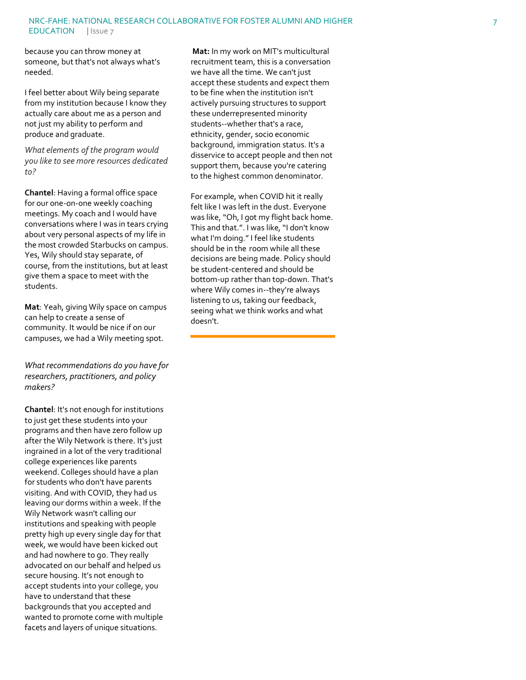because you can throw money at someone, but that's not always what's needed.

I feel better about Wily being separate from my institution because I know they actually care about me as a person and not just my ability to perform and produce and graduate.

*What elements of the program would you like to see more resources dedicated to?*

**Chantel**: Having a formal office space for our one -on -one weekly coaching meetings. My coach and I would have conversations where I was in tears crying about very personal aspects of my life in the most crowded Starbucks on campus. Yes, Wily should stay separate, of course, from the institutions, but at least giv e them a space to meet with the students.

**Mat**: Yeah, giving Wily space on campus can help to create a sense of community. It would be nice if on our campuses, we had a Wily meeting spot.

*What recommendations do you have for researchers, practitioners, and policy makers?*

**Chantel**: It's not enough for institutions to just get these students into your programs and then have zero follow up after the Wily Network is there. It's just ingrained in a lot of the very traditional college experiences like parent s weekend. Colleges should have a plan for students who don't have parents visiting. And with COVID, they had us leaving our dorms within a week. If the Wily Network wasn't calling our institutions and speaking with people pretty high up every single day for that week , we would have been kicked out and had nowhere to go. They really advocated on our behalf and helped us secure housing. It's not enough to accept students into your college, you have to understand that these backgrounds that you accepted and wanted to promote come with multiple facets and layers of unique situations.

**Mat:** In my work on MIT's multicultural recruitment team, this is a conversation we have all the time. We can't just accept these students and expect them to be fine when the institution isn't actively pursuing structures to support these underrepresented minority students--whether that's a race, ethnicity, gender , socio economic background, immigration status. It's a disservice to accept people and then not support them, because you're catering to the highest common denominator.

For example, when COVID hit it really felt like I was left in the dust. Everyone was like, "Oh, I got my flight back home. This and that.". I was like, "I don't know what I'm doing." I feel like students should be in the room while all these decisions are being made. Policy should be student -centered and should be bottom -up rather than top -down. That's where Wily comes in--they're always listening to us, taking our feedback, seeing what we think works and what doesn't.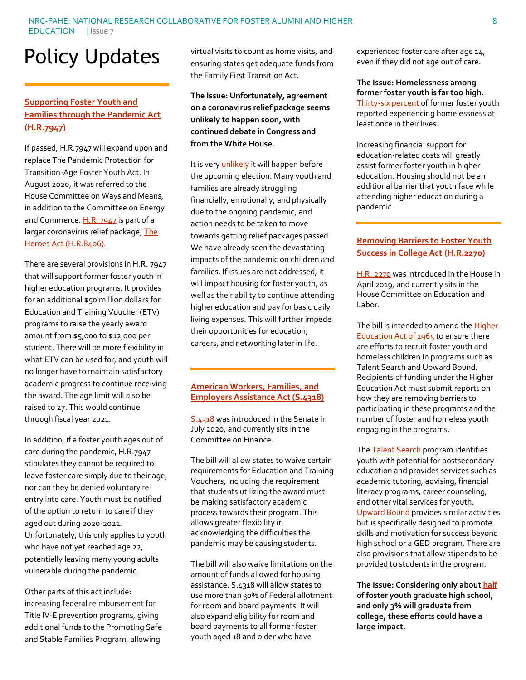# Policy Updates

# **[Supporting Foster Youth and](https://www.congress.gov/bill/116th-congress/house-bill/7947/text?q=%7B%22search%22%3A%5B%22foster+youth%22%5D%7D&r=13&s=4)  [Families through the Pandemic Act](https://www.congress.gov/bill/116th-congress/house-bill/7947/text?q=%7B%22search%22%3A%5B%22foster+youth%22%5D%7D&r=13&s=4)  [\(H.R.7947\)](https://www.congress.gov/bill/116th-congress/house-bill/7947/text?q=%7B%22search%22%3A%5B%22foster+youth%22%5D%7D&r=13&s=4)**

If passed, H.R.7947 will expand upon and replace The Pandemic Protection for Transition-Age Foster Youth Act. In August 2020, it was referred to the House Committee on Ways and Means, in addition to the Committee on Energy and Commerce[. H.R. 7947](https://www.congress.gov/bill/116th-congress/house-bill/7947/text?q=%7B%22search%22%3A%5B%22foster+youth%22%5D%7D&r=13&s=4) is part of a larger coronavirus relief package, The [Heroes Act \(H.R.8406\).](https://www.congress.gov/bill/116th-congress/house-bill/8406/text?q=%7B%22search%22%3A%5B%22hr8406%22%5D%7D&r=1&s=1)

There are several provisions in H.R. 7947 that will support former foster youth in higher education programs. It provides for an additional \$50 million dollars for Education and Training Voucher (ETV) programs to raise the yearly award amount from \$5,000 to \$12,000 per student. There will be more flexibility in what ETV can be used for, and youth will no longer have to maintain satisfactory academic progress to continue receiving the award. The age limit will also be raised to 27. This would continue through fiscal year 2021.

In addition, if a foster youth ages out of care during the pandemic, H.R.7947 stipulates they cannot be required to leave foster care simply due to their age, nor can they be denied voluntary reentry into care. Youth must be notified of the option to return to care if they aged out during 2020-2021. Unfortunately, this only applies to youth who have not yet reached age 22, potentially leaving many young adults vulnerable during the pandemic.

Other parts of this act include: increasing federal reimbursement for Title IV-E prevention programs, giving additional funds to the Promoting Safe and Stable Families Program, allowing

virtual visits to count as home visits, and ensuring states get adequate funds from the Family First Transition Act.

**The Issue: Unfortunately, agreement on a coronavirus relief package seems unlikely to happen soon, with continued debate in Congress and from the White House.** 

It is very *unlikely* it will happen before the upcoming election. Many youth and families are already struggling financially, emotionally, and physically due to the ongoing pandemic, and action needs to be taken to move towards getting relief packages passed. We have already seen the devastating impacts of the pandemic on children and families. If issues are not addressed, it will impact housing for foster youth, as well as their ability to continue attending higher education and pay for basic daily living expenses. This will further impede their opportunities for education, careers, and networking later in life.

#### **[American Workers, Families, and](https://www.congress.gov/bill/116th-congress/senate-bill/4318/text?q=%7B%22search%22%3A%5B%22foster+youth%22%5D%7D&r=22&s=4#toc-id4109750e944b402ab34c9bd54745f030)  [Employers Assistance Act \(S.4318\)](https://www.congress.gov/bill/116th-congress/senate-bill/4318/text?q=%7B%22search%22%3A%5B%22foster+youth%22%5D%7D&r=22&s=4#toc-id4109750e944b402ab34c9bd54745f030)**

[S.4318](https://www.congress.gov/bill/116th-congress/senate-bill/4318/text?q=%7B%22search%22%3A%5B%22foster+youth%22%5D%7D&r=22&s=4#toc-id4109750e944b402ab34c9bd54745f030) was introduced in the Senate in July 2020, and currently sits in the Committee on Finance.

The bill will allow states to waive certain requirements for Education and Training Vouchers, including the requirement that students utilizing the award must be making satisfactory academic process towards their program. This allows greater flexibility in acknowledging the difficulties the pandemic may be causing students.

The bill will also waive limitations on the amount of funds allowed for housing assistance. S.4318 will allow states to use more than 30% of Federal allotment for room and board payments. It will also expand eligibility for room and board payments to all former foster youth aged 18 and older who have

experienced foster care after age 14, even if they did not age out of care.

# **The Issue: Homelessness among former foster youth is far too high.**

[Thirty-six percent](https://www.aecf.org/resources/from-foster-home-to-homeless/#key-takeaway) of former foster youth reported experiencing homelessness at least once in their lives.

Increasing financial support for education-related costs will greatly assist former foster youth in higher education. Housing should not be an additional barrier that youth face while attending higher education during a pandemic.

# **[Removing Barriers to Foster Youth](https://www.congress.gov/bill/116th-congress/house-bill/2270)  [Success in College Act](https://www.congress.gov/bill/116th-congress/house-bill/2270) (H.R.2270)**

[H.R. 2270](https://www.congress.gov/bill/116th-congress/house-bill/2270) was introduced in the House in April 2019, and currently sits in the House Committee on Education and Labor.

The bill is intended to amend th[e Higher](https://www.govinfo.gov/content/pkg/STATUTE-79/pdf/STATUTE-79-Pg1219.pdf#page=37)  [Education Act of 1965](https://www.govinfo.gov/content/pkg/STATUTE-79/pdf/STATUTE-79-Pg1219.pdf#page=37) to ensure there are efforts to recruit foster youth and homeless children in programs such as Talent Search and Upward Bound. Recipients of funding under the Higher Education Act must submit reports on how they are removing barriers to participating in these programs and the number of foster and homeless youth engaging in the programs.

The **Talent Search** program identifies youth with potential for postsecondary education and provides services such as academic tutoring, advising, financial literacy programs, career counseling, and other vital services for youth. [Upward Bound](https://uscode.house.gov/view.xhtml?req=(title:20%20section:1070a-13%20edition:prelim)) provides similar activities but is specifically designed to promote skills and motivation for success beyond high school or a GED program. There are also provisions that allow stipends to be provided to students in the program.

**The Issue: Considering only abou[t half](https://nfyi.org/issues/education/) of foster youth graduate high school, and only 3% will graduate from college, these efforts could have a large impact.**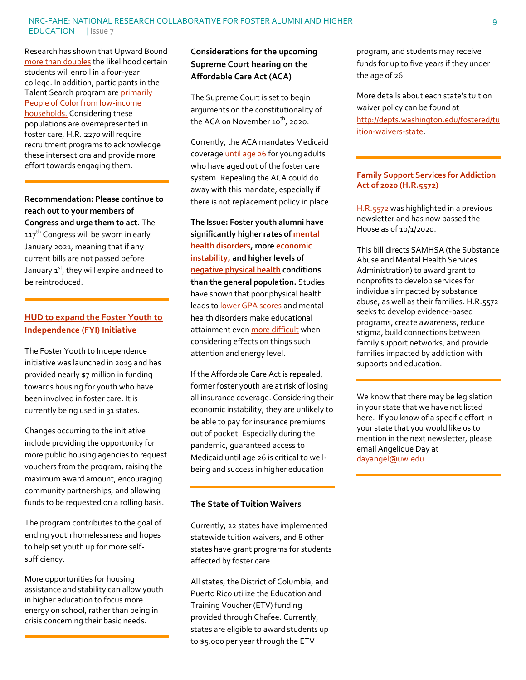Research has shown that Upward Bound [more than](https://www2.ed.gov/rschstat/eval/highered/upward/upward-3rd-report.html) doubles the likelihood certain students will enroll in a four-year college. In addition, participants in the Talent Search program are [primarily](https://www2.ed.gov/programs/triotalent/ts-fastfacts2016.pdf)  [People of Color from low-income](https://www2.ed.gov/programs/triotalent/ts-fastfacts2016.pdf)  [households.](https://www2.ed.gov/programs/triotalent/ts-fastfacts2016.pdf) Considering these populations are overrepresented in foster care, H.R. 2270 will require recruitment programs to acknowledge these intersections and provide more effort towards engaging them.

**Recommendation: Please continue to reach out to your members of Congress and urge them to act.** The 117<sup>th</sup> Congress will be sworn in early January 2021, meaning that if any current bills are not passed before January  $1^{st}$ , they will expire and need to be reintroduced.

# **[HUD to expand the Foster Youth to](https://www.hud.gov/press/press_releases_media_advisories/HUD_No_20_167)  [Independence \(FYI\) Initiative](https://www.hud.gov/press/press_releases_media_advisories/HUD_No_20_167)**

The Foster Youth to Independence initiative was launched in 2019 and has provided nearly \$7 million in funding towards housing for youth who have been involved in foster care. It is currently being used in 31 states.

Changes occurring to the initiative include providing the opportunity for more public housing agencies to request vouchers from the program, raising the maximum award amount, encouraging community partnerships, and allowing funds to be requested on a rolling basis.

The program contributes to the goal of ending youth homelessness and hopes to help set youth up for more selfsufficiency.

More opportunities for housing assistance and stability can allow youth in higher education to focus more energy on school, rather than being in crisis concerning their basic needs.

# **Considerations for the upcoming Supreme Court hearing on the Affordable Care Act (ACA)**

The Supreme Court is set to begin arguments on the constitutionality of the ACA on November  $10^{th}$ , 2020.

Currently, the ACA mandates Medicaid coverag[e until age 26](https://www.medicaid.gov/State-Resource-Center/Downloads/Medicaid-and-CHIP-FAQs-Coverage-of-Former-Foster-Care-Children.pdf) for young adults who have aged out of the foster care system. Repealing the ACA could do away with this mandate, especially if there is not replacement policy in place.

**The Issue: Foster youth alumni have significantly higher rates o[f mental](https://www.casey.org/media/AlumniStudies_NW_Report_FR.pdf)  [health disorders,](https://www.casey.org/media/AlumniStudies_NW_Report_FR.pdf) mor[e economic](https://www.casey.org/media/AlumniStudies_NW_Report_FR.pdf)  [instability,](https://www.casey.org/media/AlumniStudies_NW_Report_FR.pdf) and higher levels of [negative physical health](https://www.ncbi.nlm.nih.gov/pmc/articles/PMC6035089/) conditions than the general population.** Studies have shown that poor physical health leads t[o lower GPA scores](https://boynton.umn.edu/sites/boynton.umn.edu/files/2017-09/HealthAcademicPerformanceReport_2007.pdf) and mental health disorders make educational attainment eve[n more difficult](https://www.sprc.org/colleges-universities/consequences#:~:text=Mental%20health%20problems%20can%20affect%20a%20student) when considering effects on things such attention and energy level.

If the Affordable Care Act is repealed, former foster youth are at risk of losing all insurance coverage. Considering their economic instability, they are unlikely to be able to pay for insurance premiums out of pocket. Especially during the pandemic, guaranteed access to Medicaid until age 26 is critical to wellbeing and success in higher education

## **The State of Tuition Waivers**

Currently, 22 states have implemented statewide tuition waivers, and 8 other states have grant programs for students affected by foster care.

All states, the District of Columbia, and Puerto Rico utilize the Education and Training Voucher (ETV) funding provided through Chafee. Currently, states are eligible to award students up to \$5,000 per year through the ETV

program, and students may receive funds for up to five years if they under the age of 26.

More details about each state's tuition waiver policy can be found at [http://depts.washington.edu/fostered/tu](http://depts.washington.edu/fostered/tuition-waivers-state) [ition-waivers-state.](http://depts.washington.edu/fostered/tuition-waivers-state)

# **[Family Support Services for Addiction](https://www.congress.gov/bill/116th-congress/house-bill/5572?q=%7B%22search%22%3A%5B%22hr+5572%22%5D%7D&s=1&r=1)  [Act of 2020 \(H.R.5572\)](https://www.congress.gov/bill/116th-congress/house-bill/5572?q=%7B%22search%22%3A%5B%22hr+5572%22%5D%7D&s=1&r=1)**

[H.R.5572](https://www.congress.gov/bill/116th-congress/house-bill/5572?q=%7B%22search%22%3A%5B%22hr+5572%22%5D%7D&s=1&r=1) was highlighted in a previous newsletter and has now passed the House as of 10/1/2020.

This bill directs SAMHSA (the Substance Abuse and Mental Health Services Administration) to award grant to nonprofits to develop services for individuals impacted by substance abuse, as well as their families. H.R.5572 seeks to develop evidence-based programs, create awareness, reduce stigma, build connections between family support networks, and provide families impacted by addiction with supports and education.

We know that there may be legislation in your state that we have not listed here. If you know of a specific effort in your state that you would like us to mention in the next newsletter, please email Angelique Day at [dayangel@uw.edu.](mailto:dayangel@uw.edu)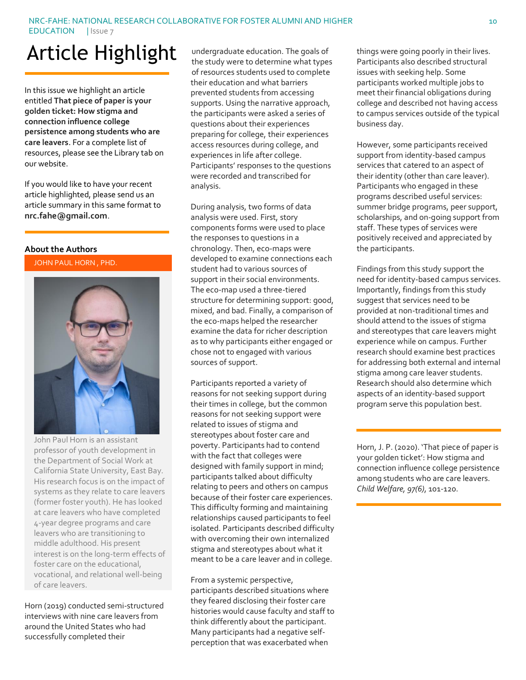# Article Highlight

In this issue we highlight an article entitled **That piece of paper is your golden ticket: How stigma and connection influence college persistence among students who are care leavers**. For a complete list of resources, please see the Library tab on our website.

If you would like to have your recent article highlighted, please send us an article summary in this same format to **nrc.fahe@gmail.com**.

#### **About the Authors**

JOHN PAUL HORN , PHD.



John Paul Horn is an assistant professor of youth development in the Department of Social Work at California State University, East Bay. His research focus is on the impact of systems as they relate to care leavers (former foster youth). He has looked at care leavers who have completed 4-year degree programs and care leavers who are transitioning to middle adulthood. His present interest is on the long-term effects of foster care on the educational, vocational, and relational well-being of care leavers.

Horn (2019) conducted semi-structured interviews with nine care leavers from around the United States who had successfully completed their

undergraduate education. The goals of the study were to determine what types of resources students used to complete their education and what barriers prevented students from accessing supports. Using the narrative approach, the participants were asked a series of questions about their experiences preparing for college, their experiences access resources during college, and experiences in life after college. Participants' responses to the questions were recorded and transcribed for analysis.

During analysis, two forms of data analysis were used. First, story components forms were used to place the responses to questions in a chronology. Then, eco-maps were developed to examine connections each student had to various sources of support in their social environments. The eco-map used a three-tiered structure for determining support: good, mixed, and bad. Finally, a comparison of the eco-maps helped the researcher examine the data for richer description as to why participants either engaged or chose not to engaged with various sources of support.

Participants reported a variety of reasons for not seeking support during their times in college, but the common reasons for not seeking support were related to issues of stigma and stereotypes about foster care and poverty. Participants had to contend with the fact that colleges were designed with family support in mind; participants talked about difficulty relating to peers and others on campus because of their foster care experiences. This difficulty forming and maintaining relationships caused participants to feel isolated. Participants described difficulty with overcoming their own internalized stigma and stereotypes about what it meant to be a care leaver and in college.

From a systemic perspective, participants described situations where they feared disclosing their foster care histories would cause faculty and staff to think differently about the participant. Many participants had a negative selfperception that was exacerbated when

things were going poorly in their lives. Participants also described structural issues with seeking help. Some participants worked multiple jobs to meet their financial obligations during college and described not having access to campus services outside of the typical business day.

However, some participants received support from identity-based campus services that catered to an aspect of their identity (other than care leaver). Participants who engaged in these programs described useful services: summer bridge programs, peer support, scholarships, and on-going support from staff. These types of services were positively received and appreciated by the participants.

Findings from this study support the need for identity-based campus services. Importantly, findings from this study suggest that services need to be provided at non-traditional times and should attend to the issues of stigma and stereotypes that care leavers might experience while on campus. Further research should examine best practices for addressing both external and internal stigma among care leaver students. Research should also determine which aspects of an identity-based support program serve this population best.

Horn, J. P. (2020). 'That piece of paper is your golden ticket': How stigma and connection influence college persistence among students who are care leavers. *Child Welfare, 97(6)*, 101-120.